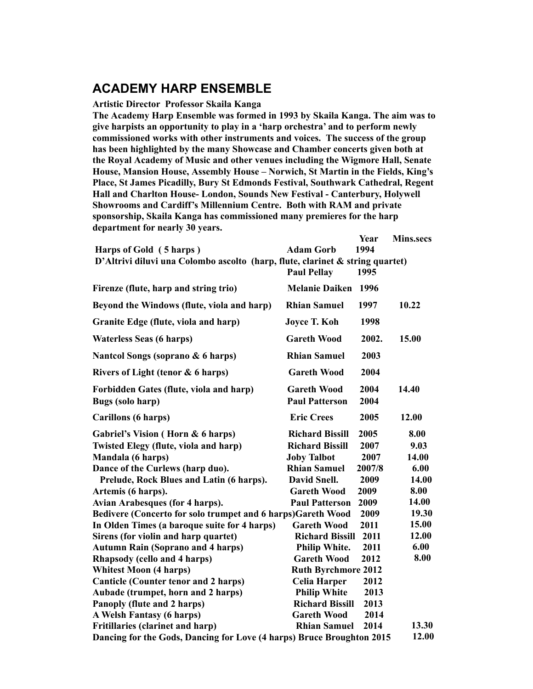## **ACADEMY HARP ENSEMBLE**

## **Artistic Director Professor Skaila Kanga**

**The Academy Harp Ensemble was formed in 1993 by Skaila Kanga. The aim was to give harpists an opportunity to play in a 'harp orchestra' and to perform newly commissioned works with other instruments and voices. The success of the group has been highlighted by the many Showcase and Chamber concerts given both at the Royal Academy of Music and other venues including the Wigmore Hall, Senate House, Mansion House, Assembly House – Norwich, St Martin in the Fields, King's Place, St James Picadilly, Bury St Edmonds Festival, Southwark Cathedral, Regent Hall and Charlton House- London, Sounds New Festival - Canterbury, Holywell Showrooms and Cardiff's Millennium Centre. Both with RAM and private sponsorship, Skaila Kanga has commissioned many premieres for the harp department for nearly 30 years.**

| Harps of Gold (5 harps)                                                          | <b>Adam Gorb</b>                            | Year<br>1994 | <b>Mins.secs</b> |
|----------------------------------------------------------------------------------|---------------------------------------------|--------------|------------------|
| D'Altrivi diluvi una Colombo ascolto (harp, flute, clarinet $\&$ string quartet) |                                             |              |                  |
|                                                                                  | <b>Paul Pellav</b>                          | 1995         |                  |
| Firenze (flute, harp and string trio)                                            | <b>Melanie Daiken</b>                       | 1996         |                  |
| Bevond the Windows (flute, viola and harp)                                       | <b>Rhian Samuel</b>                         | 1997         | 10.22            |
| Granite Edge (flute, viola and harp)                                             | <b>Joyce T. Koh</b>                         | 1998         |                  |
| <b>Waterless Seas (6 harps)</b>                                                  | <b>Gareth Wood</b>                          | 2002.        | 15.00            |
| Nantcol Songs (soprano & 6 harps)                                                | <b>Rhian Samuel</b>                         | 2003         |                  |
| Rivers of Light (tenor & 6 harps)                                                | <b>Gareth Wood</b>                          | 2004         |                  |
| Forbidden Gates (flute, viola and harp)<br>Bugs (solo harp)                      | <b>Gareth Wood</b><br><b>Paul Patterson</b> | 2004<br>2004 | 14.40            |
| Carillons (6 harps)                                                              | <b>Eric Crees</b>                           | 2005         | 12.00            |
| Gabriel's Vision (Horn & 6 harps)                                                | <b>Richard Bissill</b>                      | 2005         | 8.00             |
| Twisted Elegy (flute, viola and harp)                                            | <b>Richard Bissill</b>                      | 2007         | 9.03             |
| Mandala (6 harps)                                                                | <b>Joby Talbot</b>                          | 2007         | 14.00            |
| Dance of the Curlews (harp duo).                                                 | <b>Rhian Samuel</b>                         | 2007/8       | 6.00             |
| Prelude, Rock Blues and Latin (6 harps).                                         | David Snell.                                | 2009         | 14.00            |
| Artemis (6 harps).                                                               | <b>Gareth Wood</b>                          | 2009         | 8.00             |
| Avian Arabesques (for 4 harps).                                                  | <b>Paul Patterson</b>                       | 2009         | 14.00            |
| Bedivere (Concerto for solo trumpet and 6 harps)Gareth Wood                      |                                             | 2009         | 19.30            |
| In Olden Times (a baroque suite for 4 harps)                                     | <b>Gareth Wood</b>                          | 2011         | 15.00            |
| Sirens (for violin and harp quartet)                                             | <b>Richard Bissill</b>                      | 2011         | 12.00            |
| <b>Autumn Rain (Soprano and 4 harps)</b>                                         | <b>Philip White.</b>                        | 2011         | 6.00             |
| Rhapsody (cello and 4 harps)                                                     | <b>Gareth Wood</b>                          | 2012         | 8.00             |
| <b>Whitest Moon (4 harps)</b>                                                    | <b>Ruth Byrchmore 2012</b>                  |              |                  |
| <b>Canticle (Counter tenor and 2 harps)</b>                                      | Celia Harper                                | 2012         |                  |
| Aubade (trumpet, horn and 2 harps)                                               | <b>Philip White</b>                         | 2013         |                  |
| Panoply (flute and 2 harps)                                                      | <b>Richard Bissill</b>                      | 2013         |                  |
| A Welsh Fantasy (6 harps)                                                        | <b>Gareth Wood</b>                          | 2014         |                  |
| Fritillaries (clarinet and harp)                                                 | <b>Rhian Samuel</b>                         | 2014         | 13.30            |
| Dancing for the Gods, Dancing for Love (4 harps) Bruce Broughton 2015            |                                             |              | 12.00            |